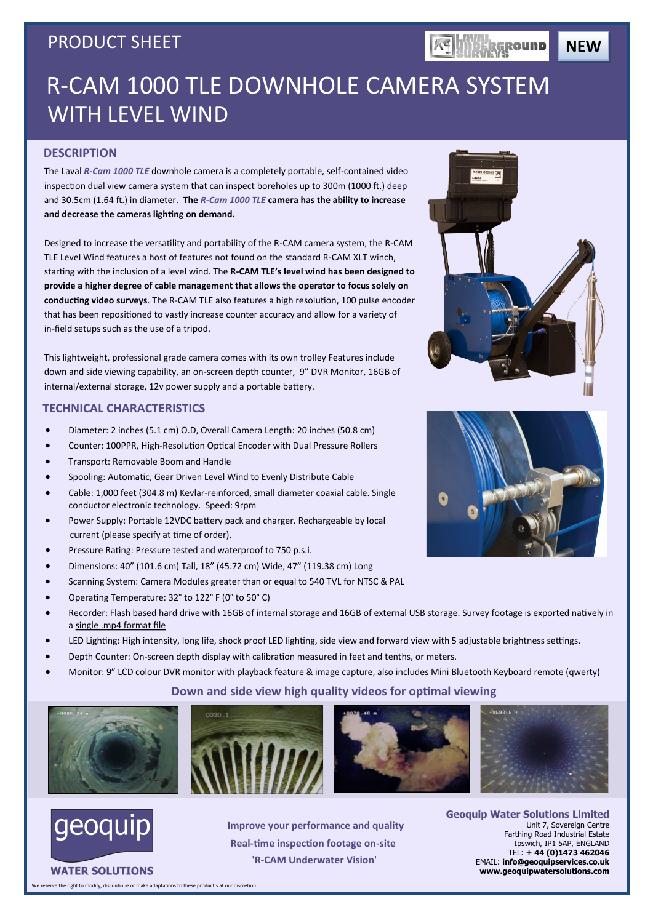## PRODUCT SHEET

**NEW**

# R-CAM 1000 TLE DOWNHOLE CAMERA SYSTEM WITH LEVEL WIND

### **DESCRIPTION**

The Laval *R-Cam 1000 TLE* downhole camera is a completely portable, self-contained video inspection dual view camera system that can inspect boreholes up to 300m (1000 ft.) deep and 30.5cm (1.64 ft.) in diameter. **The** *R-Cam 1000 TLE* **camera has the ability to increase and decrease the cameras lighting on demand.** 

Designed to increase the versatility and portability of the R-CAM camera system, the R-CAM TLE Level Wind features a host of features not found on the standard R-CAM XLT winch, starting with the inclusion of a level wind. The **R-CAM TLE's level wind has been designed to provide a higher degree of cable management that allows the operator to focus solely on conducting video surveys**. The R-CAM TLE also features a high resolution, 100 pulse encoder that has been repositioned to vastly increase counter accuracy and allow for a variety of in-field setups such as the use of a tripod.

This lightweight, professional grade camera comes with its own trolley Features include down and side viewing capability, an on-screen depth counter, 9" DVR Monitor, 16GB of internal/external storage, 12v power supply and a portable battery.

### **TECHNICAL CHARACTERISTICS**

- Diameter: 2 inches (5.1 cm) O.D, Overall Camera Length: 20 inches (50.8 cm)
- Counter: 100PPR, High-Resolution Optical Encoder with Dual Pressure Rollers
- Transport: Removable Boom and Handle
- Spooling: Automatic, Gear Driven Level Wind to Evenly Distribute Cable
- Cable: 1,000 feet (304.8 m) Kevlar-reinforced, small diameter coaxial cable. Single conductor electronic technology. Speed: 9rpm
- Power Supply: Portable 12VDC battery pack and charger. Rechargeable by local current (please specify at time of order).
- Pressure Rating: Pressure tested and waterproof to 750 p.s.i.
- Dimensions: 40" (101.6 cm) Tall, 18" (45.72 cm) Wide, 47" (119.38 cm) Long
- Scanning System: Camera Modules greater than or equal to 540 TVL for NTSC & PAL
- Operating Temperature: 32° to 122° F (0° to 50° C)
- Recorder: Flash based hard drive with 16GB of internal storage and 16GB of external USB storage. Survey footage is exported natively in a single .mp4 format file
- LED Lighting: High intensity, long life, shock proof LED lighting, side view and forward view with 5 adjustable brightness settings.
- Depth Counter: On-screen depth display with calibration measured in feet and tenths, or meters.
- Monitor: 9" LCD colour DVR monitor with playback feature & image capture, also includes Mini Bluetooth Keyboard remote (qwerty)

## **Down and side view high quality videos for optimal viewing**











**WATER SOLUTIONS** 

**Improve your performance and quality Real-time inspection footage on-site 'R-CAM Underwater Vision'**

**Geoquip Water Solutions Limited** Unit 7, Sovereign Centre Farthing Road Industrial Estate Ipswich, IP1 5AP, ENGLAND TEL: **+ 44 (0)1473 462046** EMAIL: **info@geoquipservices.co.uk www.geoquipwatersolutions.com**



**KE UNDERGROUND** 



eserve the right to modify, discontinue or make adaptations to these product's at our discretion.